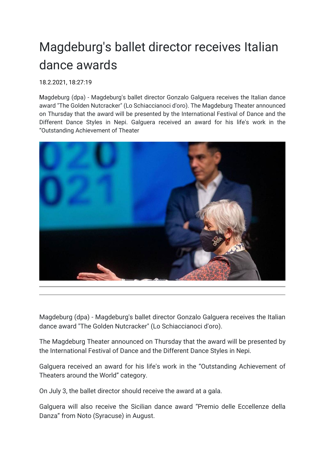## Magdeburg's ballet director receives Italian dance awards

18.2.2021, 18:27:1[9](https://news.ycombinator.com/submitlink?u=https://www.tellerreport.com/news/2021-02-18-%250A---magdeburg-s-ballet-director-receives-italian-dance-awards-%250A--.ryxt772-O.html&t=https://www.tellerreport.com/news/2021-02-18-%250A---magdeburg-s-ballet-director-receives-italian-dance-awards-%250A--.ryxt772-O.html)

Magdeburg (dpa) - Magdeburg's ballet director Gonzalo Galguera receives the Italian dance award "The Golden Nutcracker" (Lo Schiaccianoci d'oro). The Magdeburg Theater announced on Thursday that the award will be presented by the International Festival of Dance and the Different Dance Styles in Nepi. Galguera received an award for his life's work in the "Outstanding Achievement of Theater



Magdeburg (dpa) - Magdeburg's ballet director Gonzalo Galguera receives the Italian dance award "The Golden Nutcracker" (Lo Schiaccianoci d'oro).

The Magdeburg Theater announced on Thursday that the award will be presented by the International Festival of Dance and the Different Dance Styles in Nepi.

Galguera received an award for his life's work in the "Outstanding Achievement of Theaters around the World" category.

On July 3, the ballet director should receive the award at a gala.

Galguera will also receive the Sicilian dance award "Premio delle Eccellenze della Danza" from Noto (Syracuse) in August.